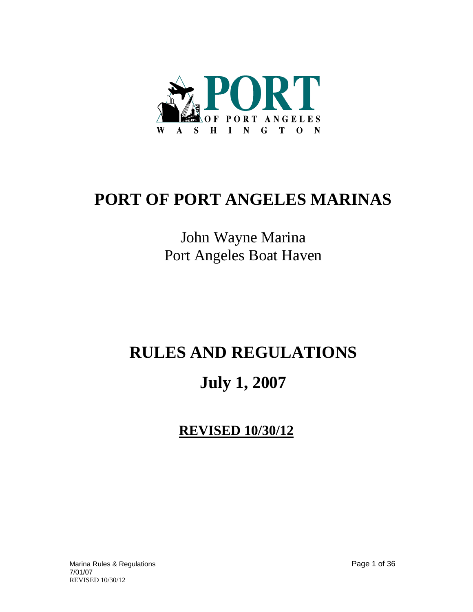

# **PORT OF PORT ANGELES MARINAS**

# John Wayne Marina Port Angeles Boat Haven

# **RULES AND REGULATIONS**

# **July 1, 2007**

**REVISED 10/30/12**

Marina Rules & Regulations Page 1 of 36 7/01/07 REVISED 10/30/12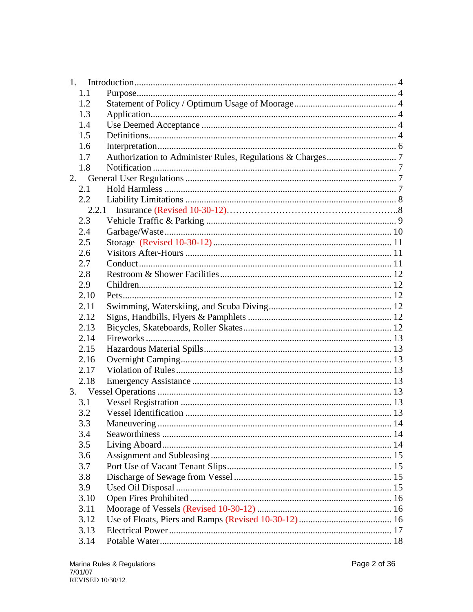| 1.1   |                      |  |
|-------|----------------------|--|
| 1.2   |                      |  |
| 1.3   |                      |  |
| 1.4   |                      |  |
| 1.5   |                      |  |
| 1.6   |                      |  |
| 1.7   |                      |  |
| 1.8   |                      |  |
| 2.    |                      |  |
| 2.1   |                      |  |
| 2.2   |                      |  |
| 2.2.1 |                      |  |
| 2.3   |                      |  |
| 2.4   |                      |  |
| 2.5   |                      |  |
| 2.6   |                      |  |
| 2.7   |                      |  |
| 2.8   |                      |  |
| 2.9   |                      |  |
| 2.10  |                      |  |
| 2.11  |                      |  |
| 2.12  |                      |  |
| 2.13  |                      |  |
| 2.14  |                      |  |
| 2.15  |                      |  |
| 2.16  |                      |  |
| 2.17  |                      |  |
| 2.18  |                      |  |
|       |                      |  |
| 3.1   |                      |  |
| 3.2   |                      |  |
| 3.3   | Maneuvering.<br>. 14 |  |
| 3.4   |                      |  |
| 3.5   |                      |  |
| 3.6   |                      |  |
| 3.7   |                      |  |
| 3.8   |                      |  |
| 3.9   |                      |  |
| 3.10  |                      |  |
| 3.11  |                      |  |
| 3.12  |                      |  |
| 3.13  |                      |  |
| 3.14  |                      |  |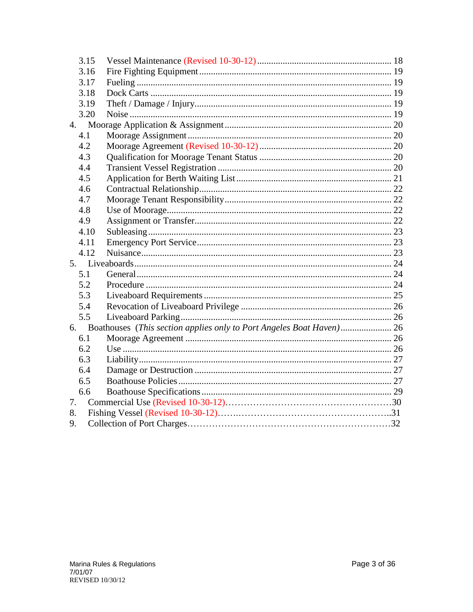|    | 3.15 |                                                                         |  |
|----|------|-------------------------------------------------------------------------|--|
|    | 3.16 |                                                                         |  |
|    | 3.17 |                                                                         |  |
|    | 3.18 |                                                                         |  |
|    | 3.19 |                                                                         |  |
|    | 3.20 |                                                                         |  |
|    |      |                                                                         |  |
|    | 4.1  |                                                                         |  |
|    | 4.2  |                                                                         |  |
|    | 4.3  |                                                                         |  |
|    | 4.4  |                                                                         |  |
|    | 4.5  |                                                                         |  |
|    | 4.6  |                                                                         |  |
|    | 4.7  |                                                                         |  |
|    | 4.8  |                                                                         |  |
|    | 4.9  |                                                                         |  |
|    | 4.10 |                                                                         |  |
|    | 4.11 |                                                                         |  |
|    | 4.12 |                                                                         |  |
|    |      |                                                                         |  |
|    | 5.1  |                                                                         |  |
|    | 5.2  |                                                                         |  |
|    | 5.3  |                                                                         |  |
|    | 5.4  |                                                                         |  |
|    | 5.5  |                                                                         |  |
|    |      | 6. Boathouses (This section applies only to Port Angeles Boat Haven) 26 |  |
|    | 6.1  |                                                                         |  |
|    | 6.2  |                                                                         |  |
|    | 6.3  |                                                                         |  |
|    | 6.4  |                                                                         |  |
|    | 6.5  |                                                                         |  |
|    | 6.6  |                                                                         |  |
| 7. |      |                                                                         |  |
| 8. |      |                                                                         |  |
| 9. |      |                                                                         |  |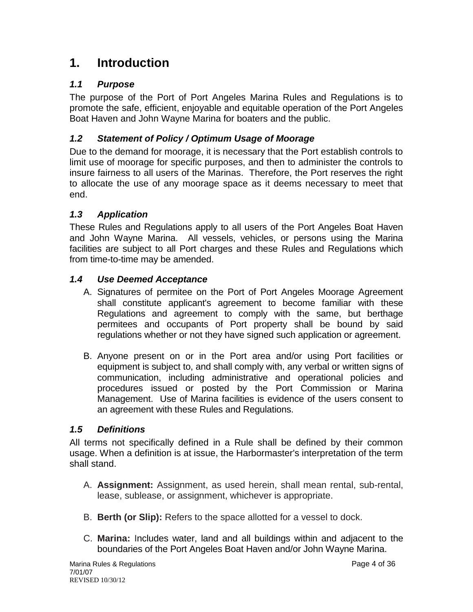# <span id="page-3-0"></span>**1. Introduction**

# <span id="page-3-1"></span>*1.1 Purpose*

The purpose of the Port of Port Angeles Marina Rules and Regulations is to promote the safe, efficient, enjoyable and equitable operation of the Port Angeles Boat Haven and John Wayne Marina for boaters and the public.

# <span id="page-3-2"></span>*1.2 Statement of Policy / Optimum Usage of Moorage*

Due to the demand for moorage, it is necessary that the Port establish controls to limit use of moorage for specific purposes, and then to administer the controls to insure fairness to all users of the Marinas. Therefore, the Port reserves the right to allocate the use of any moorage space as it deems necessary to meet that end.

# <span id="page-3-3"></span>*1.3 Application*

These Rules and Regulations apply to all users of the Port Angeles Boat Haven and John Wayne Marina. All vessels, vehicles, or persons using the Marina facilities are subject to all Port charges and these Rules and Regulations which from time-to-time may be amended.

# <span id="page-3-4"></span>*1.4 Use Deemed Acceptance*

- A. Signatures of permitee on the Port of Port Angeles Moorage Agreement shall constitute applicant's agreement to become familiar with these Regulations and agreement to comply with the same, but berthage permitees and occupants of Port property shall be bound by said regulations whether or not they have signed such application or agreement.
- B. Anyone present on or in the Port area and/or using Port facilities or equipment is subject to, and shall comply with, any verbal or written signs of communication, including administrative and operational policies and procedures issued or posted by the Port Commission or Marina Management. Use of Marina facilities is evidence of the users consent to an agreement with these Rules and Regulations.

# <span id="page-3-5"></span>*1.5 Definitions*

All terms not specifically defined in a Rule shall be defined by their common usage. When a definition is at issue, the Harbormaster's interpretation of the term shall stand.

- A. **Assignment:** Assignment, as used herein, shall mean rental, sub-rental, lease, sublease, or assignment, whichever is appropriate.
- B. **Berth (or Slip):** Refers to the space allotted for a vessel to dock.
- C. **Marina:** Includes water, land and all buildings within and adjacent to the boundaries of the Port Angeles Boat Haven and/or John Wayne Marina.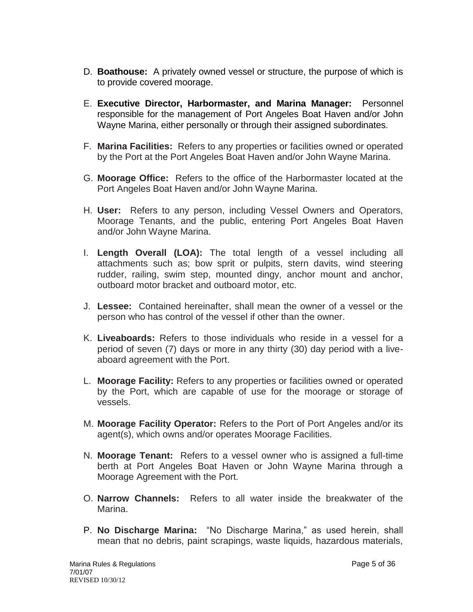- D. **Boathouse:** A privately owned vessel or structure, the purpose of which is to provide covered moorage.
- E. **Executive Director, Harbormaster, and Marina Manager:** Personnel responsible for the management of Port Angeles Boat Haven and/or John Wayne Marina, either personally or through their assigned subordinates.
- F. **Marina Facilities:** Refers to any properties or facilities owned or operated by the Port at the Port Angeles Boat Haven and/or John Wayne Marina.
- G. **Moorage Office:** Refers to the office of the Harbormaster located at the Port Angeles Boat Haven and/or John Wayne Marina.
- H. **User:** Refers to any person, including Vessel Owners and Operators, Moorage Tenants, and the public, entering Port Angeles Boat Haven and/or John Wayne Marina.
- I. **Length Overall (LOA):** The total length of a vessel including all attachments such as; bow sprit or pulpits, stern davits, wind steering rudder, railing, swim step, mounted dingy, anchor mount and anchor, outboard motor bracket and outboard motor, etc.
- J. **Lessee:** Contained hereinafter, shall mean the owner of a vessel or the person who has control of the vessel if other than the owner.
- K. **Liveaboards:** Refers to those individuals who reside in a vessel for a period of seven (7) days or more in any thirty (30) day period with a liveaboard agreement with the Port.
- L. **Moorage Facility:** Refers to any properties or facilities owned or operated by the Port, which are capable of use for the moorage or storage of vessels.
- M. **Moorage Facility Operator:** Refers to the Port of Port Angeles and/or its agent(s), which owns and/or operates Moorage Facilities.
- N. **Moorage Tenant:** Refers to a vessel owner who is assigned a full-time berth at Port Angeles Boat Haven or John Wayne Marina through a Moorage Agreement with the Port.
- O. **Narrow Channels:** Refers to all water inside the breakwater of the Marina.
- P. **No Discharge Marina:** "No Discharge Marina," as used herein, shall mean that no debris, paint scrapings, waste liquids, hazardous materials,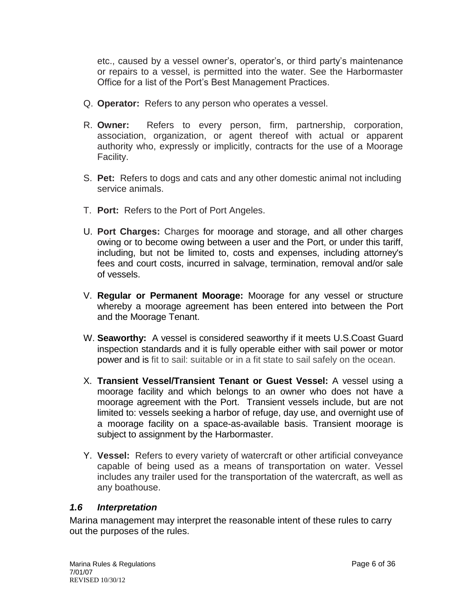etc., caused by a vessel owner's, operator's, or third party's maintenance or repairs to a vessel, is permitted into the water. See the Harbormaster Office for a list of the Port's Best Management Practices.

- Q. **Operator:** Refers to any person who operates a vessel.
- R. **Owner:** Refers to every person, firm, partnership, corporation, association, organization, or agent thereof with actual or apparent authority who, expressly or implicitly, contracts for the use of a Moorage Facility.
- S. **Pet:** Refers to dogs and cats and any other domestic animal not including service animals.
- T. **Port:** Refers to the Port of Port Angeles.
- U. **Port Charges:** Charges for moorage and storage, and all other charges owing or to become owing between a user and the Port, or under this tariff, including, but not be limited to, costs and expenses, including attorney's fees and court costs, incurred in salvage, termination, removal and/or sale of vessels.
- V. **Regular or Permanent Moorage:** Moorage for any vessel or structure whereby a moorage agreement has been entered into between the Port and the Moorage Tenant.
- W. **Seaworthy:** A vessel is considered seaworthy if it meets U.S.Coast Guard inspection standards and it is fully operable either with sail power or motor power and is fit to sail: suitable or in a fit state to sail safely on the ocean.
- X. **Transient Vessel/Transient Tenant or Guest Vessel:** A vessel using a moorage facility and which belongs to an owner who does not have a moorage agreement with the Port. Transient vessels include, but are not limited to: vessels seeking a harbor of refuge, day use, and overnight use of a moorage facility on a space-as-available basis. Transient moorage is subject to assignment by the Harbormaster.
- Y. **Vessel:** Refers to every variety of watercraft or other artificial conveyance capable of being used as a means of transportation on water. Vessel includes any trailer used for the transportation of the watercraft, as well as any boathouse.

#### <span id="page-5-0"></span>*1.6 Interpretation*

Marina management may interpret the reasonable intent of these rules to carry out the purposes of the rules.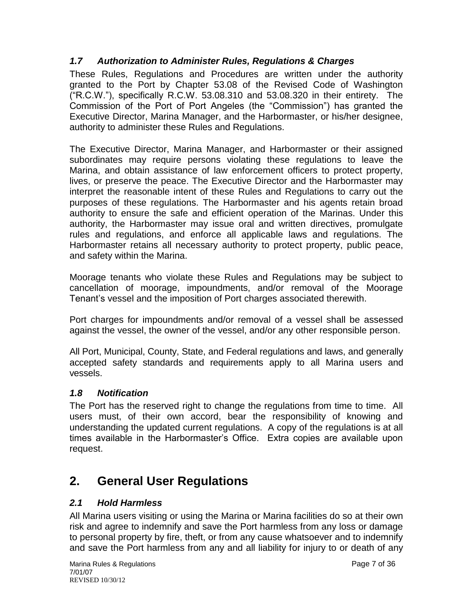# <span id="page-6-0"></span>*1.7 Authorization to Administer Rules, Regulations & Charges*

These Rules, Regulations and Procedures are written under the authority granted to the Port by Chapter 53.08 of the Revised Code of Washington ("R.C.W."), specifically R.C.W. 53.08.310 and 53.08.320 in their entirety. The Commission of the Port of Port Angeles (the "Commission") has granted the Executive Director, Marina Manager, and the Harbormaster, or his/her designee, authority to administer these Rules and Regulations.

The Executive Director, Marina Manager, and Harbormaster or their assigned subordinates may require persons violating these regulations to leave the Marina, and obtain assistance of law enforcement officers to protect property, lives, or preserve the peace. The Executive Director and the Harbormaster may interpret the reasonable intent of these Rules and Regulations to carry out the purposes of these regulations. The Harbormaster and his agents retain broad authority to ensure the safe and efficient operation of the Marinas. Under this authority, the Harbormaster may issue oral and written directives, promulgate rules and regulations, and enforce all applicable laws and regulations. The Harbormaster retains all necessary authority to protect property, public peace, and safety within the Marina.

Moorage tenants who violate these Rules and Regulations may be subject to cancellation of moorage, impoundments, and/or removal of the Moorage Tenant's vessel and the imposition of Port charges associated therewith.

Port charges for impoundments and/or removal of a vessel shall be assessed against the vessel, the owner of the vessel, and/or any other responsible person.

All Port, Municipal, County, State, and Federal regulations and laws, and generally accepted safety standards and requirements apply to all Marina users and vessels.

# <span id="page-6-1"></span>*1.8 Notification*

The Port has the reserved right to change the regulations from time to time. All users must, of their own accord, bear the responsibility of knowing and understanding the updated current regulations. A copy of the regulations is at all times available in the Harbormaster's Office. Extra copies are available upon request.

# <span id="page-6-2"></span>**2. General User Regulations**

# <span id="page-6-3"></span>*2.1 Hold Harmless*

All Marina users visiting or using the Marina or Marina facilities do so at their own risk and agree to indemnify and save the Port harmless from any loss or damage to personal property by fire, theft, or from any cause whatsoever and to indemnify and save the Port harmless from any and all liability for injury to or death of any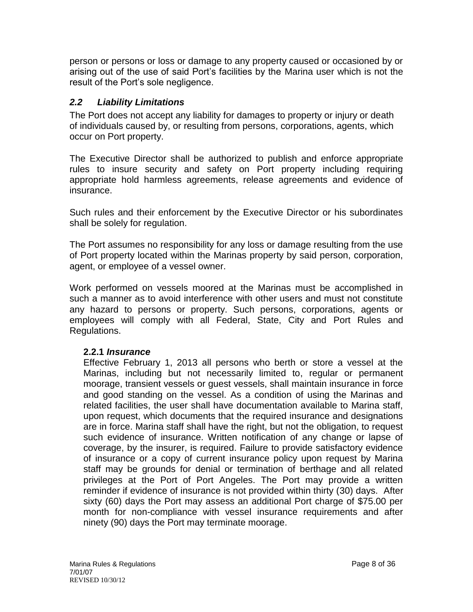person or persons or loss or damage to any property caused or occasioned by or arising out of the use of said Port's facilities by the Marina user which is not the result of the Port's sole negligence.

#### <span id="page-7-0"></span>*2.2 Liability Limitations*

The Port does not accept any liability for damages to property or injury or death of individuals caused by, or resulting from persons, corporations, agents, which occur on Port property.

The Executive Director shall be authorized to publish and enforce appropriate rules to insure security and safety on Port property including requiring appropriate hold harmless agreements, release agreements and evidence of insurance.

Such rules and their enforcement by the Executive Director or his subordinates shall be solely for regulation.

The Port assumes no responsibility for any loss or damage resulting from the use of Port property located within the Marinas property by said person, corporation, agent, or employee of a vessel owner.

Work performed on vessels moored at the Marinas must be accomplished in such a manner as to avoid interference with other users and must not constitute any hazard to persons or property. Such persons, corporations, agents or employees will comply with all Federal, State, City and Port Rules and Regulations.

#### **2.2.1** *Insurance*

Effective February 1, 2013 all persons who berth or store a vessel at the Marinas, including but not necessarily limited to, regular or permanent moorage, transient vessels or guest vessels, shall maintain insurance in force and good standing on the vessel. As a condition of using the Marinas and related facilities, the user shall have documentation available to Marina staff, upon request, which documents that the required insurance and designations are in force. Marina staff shall have the right, but not the obligation, to request such evidence of insurance. Written notification of any change or lapse of coverage, by the insurer, is required. Failure to provide satisfactory evidence of insurance or a copy of current insurance policy upon request by Marina staff may be grounds for denial or termination of berthage and all related privileges at the Port of Port Angeles. The Port may provide a written reminder if evidence of insurance is not provided within thirty (30) days. After sixty (60) days the Port may assess an additional Port charge of \$75.00 per month for non-compliance with vessel insurance requirements and after ninety (90) days the Port may terminate moorage.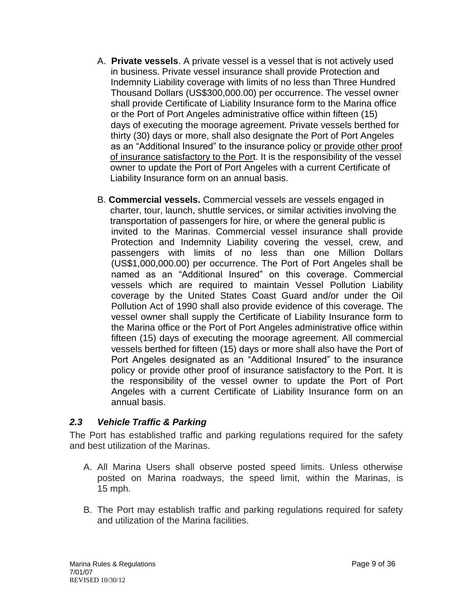- A. **Private vessels**. A private vessel is a vessel that is not actively used in business. Private vessel insurance shall provide Protection and Indemnity Liability coverage with limits of no less than Three Hundred Thousand Dollars (US\$300,000.00) per occurrence. The vessel owner shall provide Certificate of Liability Insurance form to the Marina office or the Port of Port Angeles administrative office within fifteen (15) days of executing the moorage agreement. Private vessels berthed for thirty (30) days or more, shall also designate the Port of Port Angeles as an "Additional Insured" to the insurance policy or provide other proof of insurance satisfactory to the Port. It is the responsibility of the vessel owner to update the Port of Port Angeles with a current Certificate of Liability Insurance form on an annual basis.
- B. **Commercial vessels.** Commercial vessels are vessels engaged in charter, tour, launch, shuttle services, or similar activities involving the transportation of passengers for hire, or where the general public is invited to the Marinas. Commercial vessel insurance shall provide Protection and Indemnity Liability covering the vessel, crew, and passengers with limits of no less than one Million Dollars (US\$1,000,000.00) per occurrence. The Port of Port Angeles shall be named as an "Additional Insured" on this coverage. Commercial vessels which are required to maintain Vessel Pollution Liability coverage by the United States Coast Guard and/or under the Oil Pollution Act of 1990 shall also provide evidence of this coverage. The vessel owner shall supply the Certificate of Liability Insurance form to the Marina office or the Port of Port Angeles administrative office within fifteen (15) days of executing the moorage agreement. All commercial vessels berthed for fifteen (15) days or more shall also have the Port of Port Angeles designated as an "Additional Insured" to the insurance policy or provide other proof of insurance satisfactory to the Port. It is the responsibility of the vessel owner to update the Port of Port Angeles with a current Certificate of Liability Insurance form on an annual basis.

#### <span id="page-8-0"></span>*2.3 Vehicle Traffic & Parking*

The Port has established traffic and parking regulations required for the safety and best utilization of the Marinas.

- A. All Marina Users shall observe posted speed limits. Unless otherwise posted on Marina roadways, the speed limit, within the Marinas, is 15 mph.
- B. The Port may establish traffic and parking regulations required for safety and utilization of the Marina facilities.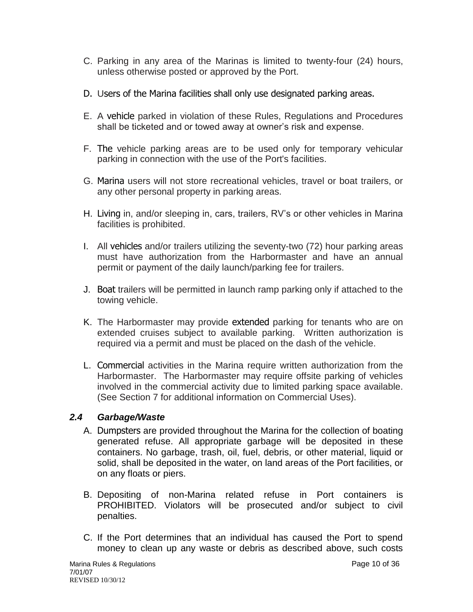- C. Parking in any area of the Marinas is limited to twenty-four (24) hours, unless otherwise posted or approved by the Port.
- D. Users of the Marina facilities shall only use designated parking areas.
- E. A vehicle parked in violation of these Rules, Regulations and Procedures shall be ticketed and or towed away at owner's risk and expense.
- F. The vehicle parking areas are to be used only for temporary vehicular parking in connection with the use of the Port's facilities.
- G. Marina users will not store recreational vehicles, travel or boat trailers, or any other personal property in parking areas.
- H. Living in, and/or sleeping in, cars, trailers, RV's or other vehicles in Marina facilities is prohibited.
- I. All vehicles and/or trailers utilizing the seventy-two (72) hour parking areas must have authorization from the Harbormaster and have an annual permit or payment of the daily launch/parking fee for trailers.
- J. Boat trailers will be permitted in launch ramp parking only if attached to the towing vehicle.
- K. The Harbormaster may provide extended parking for tenants who are on extended cruises subject to available parking. Written authorization is required via a permit and must be placed on the dash of the vehicle.
- L. Commercial activities in the Marina require written authorization from the Harbormaster. The Harbormaster may require offsite parking of vehicles involved in the commercial activity due to limited parking space available. (See Section 7 for additional information on Commercial Uses).

# <span id="page-9-0"></span>*2.4 Garbage/Waste*

- A. Dumpsters are provided throughout the Marina for the collection of boating generated refuse. All appropriate garbage will be deposited in these containers. No garbage, trash, oil, fuel, debris, or other material, liquid or solid, shall be deposited in the water, on land areas of the Port facilities, or on any floats or piers.
- B. Depositing of non-Marina related refuse in Port containers is PROHIBITED. Violators will be prosecuted and/or subject to civil penalties.
- C. If the Port determines that an individual has caused the Port to spend money to clean up any waste or debris as described above, such costs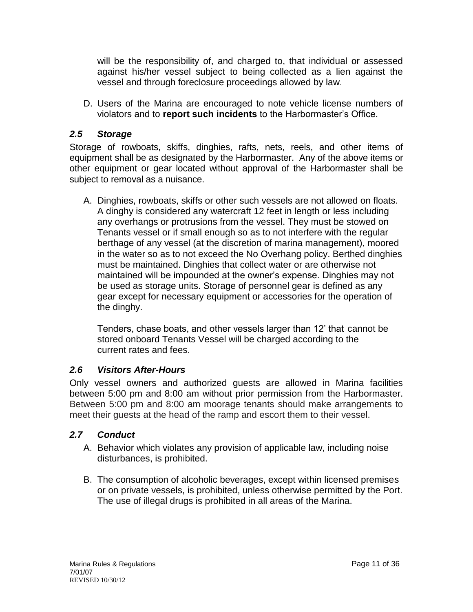will be the responsibility of, and charged to, that individual or assessed against his/her vessel subject to being collected as a lien against the vessel and through foreclosure proceedings allowed by law.

D. Users of the Marina are encouraged to note vehicle license numbers of violators and to **report such incidents** to the Harbormaster's Office.

### <span id="page-10-0"></span>*2.5 Storage*

Storage of rowboats, skiffs, dinghies, rafts, nets, reels, and other items of equipment shall be as designated by the Harbormaster. Any of the above items or other equipment or gear located without approval of the Harbormaster shall be subject to removal as a nuisance.

A. Dinghies, rowboats, skiffs or other such vessels are not allowed on floats. A dinghy is considered any watercraft 12 feet in length or less including any overhangs or protrusions from the vessel. They must be stowed on Tenants vessel or if small enough so as to not interfere with the regular berthage of any vessel (at the discretion of marina management), moored in the water so as to not exceed the No Overhang policy. Berthed dinghies must be maintained. Dinghies that collect water or are otherwise not maintained will be impounded at the owner's expense. Dinghies may not be used as storage units. Storage of personnel gear is defined as any gear except for necessary equipment or accessories for the operation of the dinghy.

Tenders, chase boats, and other vessels larger than 12' that cannot be stored onboard Tenants Vessel will be charged according to the current rates and fees.

#### <span id="page-10-1"></span>*2.6 Visitors After-Hours*

Only vessel owners and authorized guests are allowed in Marina facilities between 5:00 pm and 8:00 am without prior permission from the Harbormaster. Between 5:00 pm and 8:00 am moorage tenants should make arrangements to meet their guests at the head of the ramp and escort them to their vessel.

# <span id="page-10-2"></span>*2.7 Conduct*

- A. Behavior which violates any provision of applicable law, including noise disturbances, is prohibited.
- B. The consumption of alcoholic beverages, except within licensed premises or on private vessels, is prohibited, unless otherwise permitted by the Port. The use of illegal drugs is prohibited in all areas of the Marina.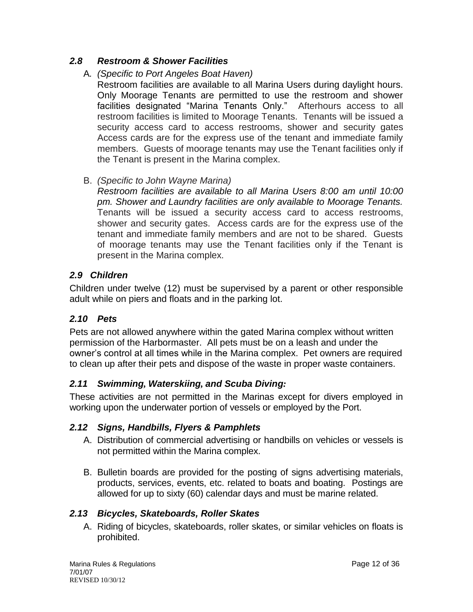### <span id="page-11-0"></span>*2.8 Restroom & Shower Facilities*

#### A*. (Specific to Port Angeles Boat Haven)*

Restroom facilities are available to all Marina Users during daylight hours. Only Moorage Tenants are permitted to use the restroom and shower facilities designated "Marina Tenants Only." Afterhours access to all restroom facilities is limited to Moorage Tenants. Tenants will be issued a security access card to access restrooms, shower and security gates Access cards are for the express use of the tenant and immediate family members. Guests of moorage tenants may use the Tenant facilities only if the Tenant is present in the Marina complex.

#### B. *(Specific to John Wayne Marina)*

*Restroom facilities are available to all Marina Users 8:00 am until 10:00 pm. Shower and Laundry facilities are only available to Moorage Tenants.* Tenants will be issued a security access card to access restrooms, shower and security gates. Access cards are for the express use of the tenant and immediate family members and are not to be shared. Guests of moorage tenants may use the Tenant facilities only if the Tenant is present in the Marina complex.

#### <span id="page-11-1"></span>*2.9 Children*

Children under twelve (12) must be supervised by a parent or other responsible adult while on piers and floats and in the parking lot.

# <span id="page-11-2"></span>*2.10 Pets*

Pets are not allowed anywhere within the gated Marina complex without written permission of the Harbormaster. All pets must be on a leash and under the owner's control at all times while in the Marina complex. Pet owners are required to clean up after their pets and dispose of the waste in proper waste containers.

#### <span id="page-11-3"></span>*2.11 Swimming, Waterskiing, and Scuba Diving:*

These activities are not permitted in the Marinas except for divers employed in working upon the underwater portion of vessels or employed by the Port.

#### <span id="page-11-4"></span>*2.12 Signs, Handbills, Flyers & Pamphlets*

- A. Distribution of commercial advertising or handbills on vehicles or vessels is not permitted within the Marina complex.
- B. Bulletin boards are provided for the posting of signs advertising materials, products, services, events, etc. related to boats and boating. Postings are allowed for up to sixty (60) calendar days and must be marine related.

#### <span id="page-11-5"></span>*2.13 Bicycles, Skateboards, Roller Skates*

A. Riding of bicycles, skateboards, roller skates, or similar vehicles on floats is prohibited.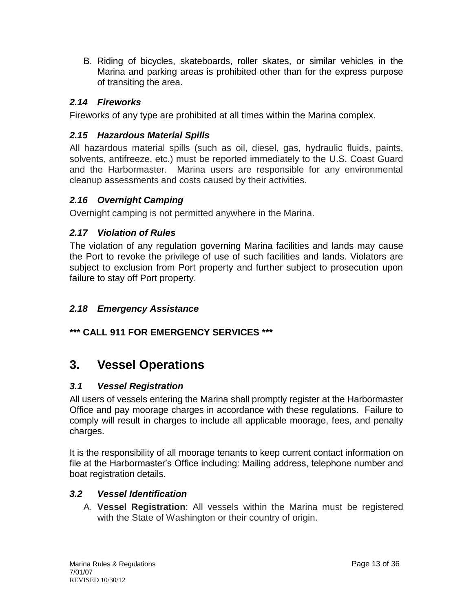B. Riding of bicycles, skateboards, roller skates, or similar vehicles in the Marina and parking areas is prohibited other than for the express purpose of transiting the area.

# <span id="page-12-0"></span>*2.14 Fireworks*

Fireworks of any type are prohibited at all times within the Marina complex.

#### <span id="page-12-1"></span>*2.15 Hazardous Material Spills*

All hazardous material spills (such as oil, diesel, gas, hydraulic fluids, paints, solvents, antifreeze, etc.) must be reported immediately to the U.S. Coast Guard and the Harbormaster. Marina users are responsible for any environmental cleanup assessments and costs caused by their activities.

#### <span id="page-12-2"></span>*2.16 Overnight Camping*

Overnight camping is not permitted anywhere in the Marina.

#### <span id="page-12-3"></span>*2.17 Violation of Rules*

The violation of any regulation governing Marina facilities and lands may cause the Port to revoke the privilege of use of such facilities and lands. Violators are subject to exclusion from Port property and further subject to prosecution upon failure to stay off Port property.

### <span id="page-12-4"></span>*2.18 Emergency Assistance*

# **\*\*\* CALL 911 FOR EMERGENCY SERVICES \*\*\***

# <span id="page-12-5"></span>**3. Vessel Operations**

#### <span id="page-12-6"></span>*3.1 Vessel Registration*

All users of vessels entering the Marina shall promptly register at the Harbormaster Office and pay moorage charges in accordance with these regulations. Failure to comply will result in charges to include all applicable moorage, fees, and penalty charges.

It is the responsibility of all moorage tenants to keep current contact information on file at the Harbormaster's Office including: Mailing address, telephone number and boat registration details.

#### <span id="page-12-7"></span>*3.2 Vessel Identification*

A. **Vessel Registration**: All vessels within the Marina must be registered with the State of Washington or their country of origin.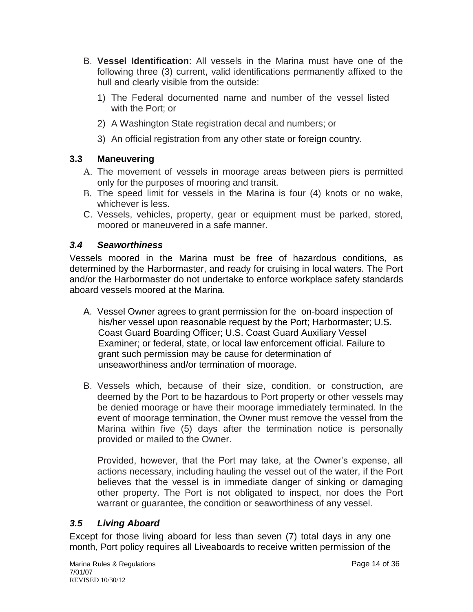- B. **Vessel Identification**: All vessels in the Marina must have one of the following three (3) current, valid identifications permanently affixed to the hull and clearly visible from the outside:
	- 1) The Federal documented name and number of the vessel listed with the Port; or
	- 2) A Washington State registration decal and numbers; or
	- 3) An official registration from any other state or foreign country.

# <span id="page-13-0"></span>**3.3 Maneuvering**

- A. The movement of vessels in moorage areas between piers is permitted only for the purposes of mooring and transit.
- B. The speed limit for vessels in the Marina is four (4) knots or no wake, whichever is less.
- C. Vessels, vehicles, property, gear or equipment must be parked, stored, moored or maneuvered in a safe manner.

# <span id="page-13-1"></span>*3.4 Seaworthiness*

Vessels moored in the Marina must be free of hazardous conditions, as determined by the Harbormaster, and ready for cruising in local waters. The Port and/or the Harbormaster do not undertake to enforce workplace safety standards aboard vessels moored at the Marina.

- A. Vessel Owner agrees to grant permission for the on-board inspection of his/her vessel upon reasonable request by the Port; Harbormaster; U.S. Coast Guard Boarding Officer; U.S. Coast Guard Auxiliary Vessel Examiner; or federal, state, or local law enforcement official. Failure to grant such permission may be cause for determination of unseaworthiness and/or termination of moorage.
- B. Vessels which, because of their size, condition, or construction, are deemed by the Port to be hazardous to Port property or other vessels may be denied moorage or have their moorage immediately terminated. In the event of moorage termination, the Owner must remove the vessel from the Marina within five (5) days after the termination notice is personally provided or mailed to the Owner.

Provided, however, that the Port may take, at the Owner's expense, all actions necessary, including hauling the vessel out of the water, if the Port believes that the vessel is in immediate danger of sinking or damaging other property. The Port is not obligated to inspect, nor does the Port warrant or guarantee, the condition or seaworthiness of any vessel.

# <span id="page-13-2"></span>*3.5 Living Aboard*

Except for those living aboard for less than seven (7) total days in any one month, Port policy requires all Liveaboards to receive written permission of the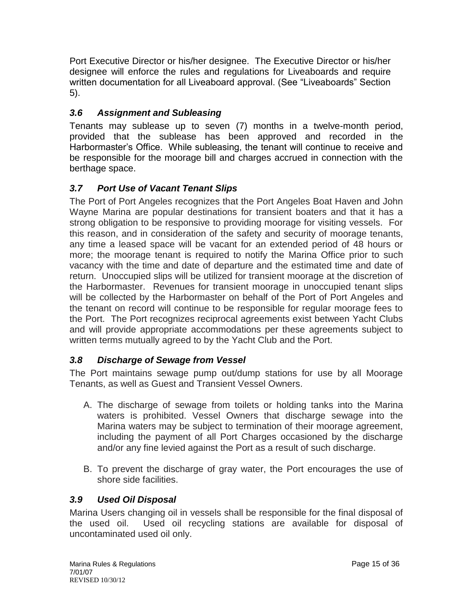Port Executive Director or his/her designee. The Executive Director or his/her designee will enforce the rules and regulations for Liveaboards and require written documentation for all Liveaboard approval. (See "Liveaboards" Section 5).

# <span id="page-14-0"></span>*3.6 Assignment and Subleasing*

Tenants may sublease up to seven (7) months in a twelve-month period, provided that the sublease has been approved and recorded in the Harbormaster's Office. While subleasing, the tenant will continue to receive and be responsible for the moorage bill and charges accrued in connection with the berthage space.

# <span id="page-14-1"></span>*3.7 Port Use of Vacant Tenant Slips*

The Port of Port Angeles recognizes that the Port Angeles Boat Haven and John Wayne Marina are popular destinations for transient boaters and that it has a strong obligation to be responsive to providing moorage for visiting vessels. For this reason, and in consideration of the safety and security of moorage tenants, any time a leased space will be vacant for an extended period of 48 hours or more; the moorage tenant is required to notify the Marina Office prior to such vacancy with the time and date of departure and the estimated time and date of return. Unoccupied slips will be utilized for transient moorage at the discretion of the Harbormaster. Revenues for transient moorage in unoccupied tenant slips will be collected by the Harbormaster on behalf of the Port of Port Angeles and the tenant on record will continue to be responsible for regular moorage fees to the Port. The Port recognizes reciprocal agreements exist between Yacht Clubs and will provide appropriate accommodations per these agreements subject to written terms mutually agreed to by the Yacht Club and the Port.

# <span id="page-14-2"></span>*3.8 Discharge of Sewage from Vessel*

The Port maintains sewage pump out/dump stations for use by all Moorage Tenants, as well as Guest and Transient Vessel Owners.

- A. The discharge of sewage from toilets or holding tanks into the Marina waters is prohibited. Vessel Owners that discharge sewage into the Marina waters may be subject to termination of their moorage agreement, including the payment of all Port Charges occasioned by the discharge and/or any fine levied against the Port as a result of such discharge.
- B. To prevent the discharge of gray water, the Port encourages the use of shore side facilities.

# <span id="page-14-3"></span>*3.9 Used Oil Disposal*

Marina Users changing oil in vessels shall be responsible for the final disposal of the used oil. Used oil recycling stations are available for disposal of uncontaminated used oil only.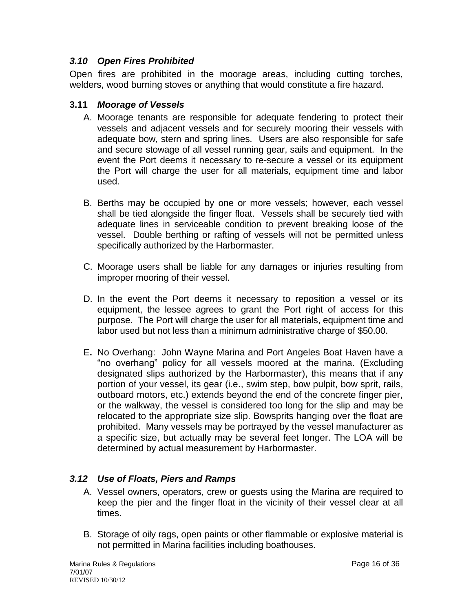#### <span id="page-15-0"></span>*3.10 Open Fires Prohibited*

Open fires are prohibited in the moorage areas, including cutting torches, welders, wood burning stoves or anything that would constitute a fire hazard.

#### <span id="page-15-1"></span>**3.11** *Moorage of Vessels*

- A. Moorage tenants are responsible for adequate fendering to protect their vessels and adjacent vessels and for securely mooring their vessels with adequate bow, stern and spring lines. Users are also responsible for safe and secure stowage of all vessel running gear, sails and equipment. In the event the Port deems it necessary to re-secure a vessel or its equipment the Port will charge the user for all materials, equipment time and labor used.
- B. Berths may be occupied by one or more vessels; however, each vessel shall be tied alongside the finger float. Vessels shall be securely tied with adequate lines in serviceable condition to prevent breaking loose of the vessel. Double berthing or rafting of vessels will not be permitted unless specifically authorized by the Harbormaster.
- C. Moorage users shall be liable for any damages or injuries resulting from improper mooring of their vessel.
- D. In the event the Port deems it necessary to reposition a vessel or its equipment, the lessee agrees to grant the Port right of access for this purpose. The Port will charge the user for all materials, equipment time and labor used but not less than a minimum administrative charge of \$50.00.
- E**.** No Overhang: John Wayne Marina and Port Angeles Boat Haven have a "no overhang" policy for all vessels moored at the marina. (Excluding designated slips authorized by the Harbormaster), this means that if any portion of your vessel, its gear (i.e., swim step, bow pulpit, bow sprit, rails, outboard motors, etc.) extends beyond the end of the concrete finger pier, or the walkway, the vessel is considered too long for the slip and may be relocated to the appropriate size slip. Bowsprits hanging over the float are prohibited. Many vessels may be portrayed by the vessel manufacturer as a specific size, but actually may be several feet longer. The LOA will be determined by actual measurement by Harbormaster.

#### <span id="page-15-2"></span>*3.12 Use of Floats, Piers and Ramps*

- A. Vessel owners, operators, crew or guests using the Marina are required to keep the pier and the finger float in the vicinity of their vessel clear at all times.
- B. Storage of oily rags, open paints or other flammable or explosive material is not permitted in Marina facilities including boathouses.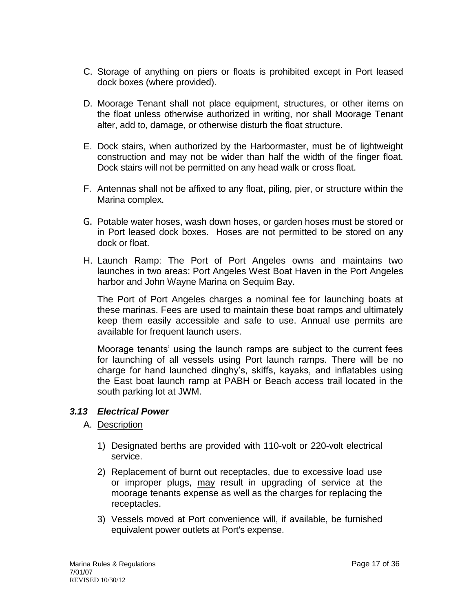- C. Storage of anything on piers or floats is prohibited except in Port leased dock boxes (where provided).
- D. Moorage Tenant shall not place equipment, structures, or other items on the float unless otherwise authorized in writing, nor shall Moorage Tenant alter, add to, damage, or otherwise disturb the float structure.
- E. Dock stairs, when authorized by the Harbormaster, must be of lightweight construction and may not be wider than half the width of the finger float. Dock stairs will not be permitted on any head walk or cross float.
- F. Antennas shall not be affixed to any float, piling, pier, or structure within the Marina complex.
- G. Potable water hoses, wash down hoses, or garden hoses must be stored or in Port leased dock boxes. Hoses are not permitted to be stored on any dock or float.
- H. Launch Ramp: The Port of Port Angeles owns and maintains two launches in two areas: Port Angeles West [Boat Haven](http://www.portofpa.com/marinas/port-angeles-boat-haven.html) in the Port Angeles harbor and [John Wayne Marina](http://www.portofpa.com/marinas/john-wayne-marina.html) on Sequim Bay.

The Port of Port Angeles charges a nominal fee for launching boats at these marinas. Fees are used to maintain these boat ramps and ultimately keep them easily accessible and safe to use. Annual use permits are available for frequent launch users.

Moorage tenants' using the launch ramps are subject to the current fees for launching of all vessels using Port launch ramps. There will be no charge for hand launched dinghy's, skiffs, kayaks, and inflatables using the East boat launch ramp at PABH or Beach access trail located in the south parking lot at JWM.

#### <span id="page-16-0"></span>*3.13 Electrical Power*

- A. Description
	- 1) Designated berths are provided with 110-volt or 220-volt electrical service.
	- 2) Replacement of burnt out receptacles, due to excessive load use or improper plugs, may result in upgrading of service at the moorage tenants expense as well as the charges for replacing the receptacles.
	- 3) Vessels moved at Port convenience will, if available, be furnished equivalent power outlets at Port's expense.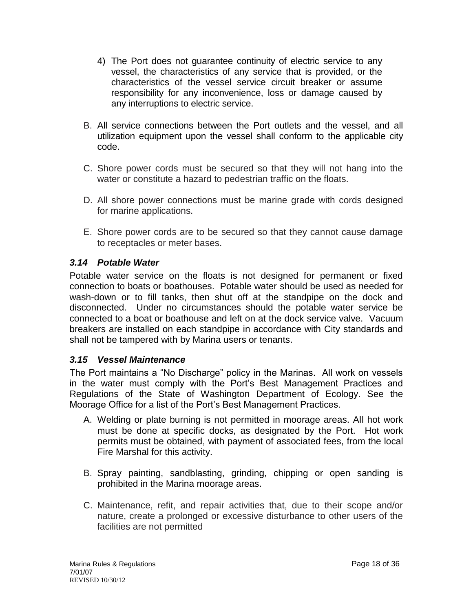- 4) The Port does not guarantee continuity of electric service to any vessel, the characteristics of any service that is provided, or the characteristics of the vessel service circuit breaker or assume responsibility for any inconvenience, loss or damage caused by any interruptions to electric service.
- B. All service connections between the Port outlets and the vessel, and all utilization equipment upon the vessel shall conform to the applicable city code.
- C. Shore power cords must be secured so that they will not hang into the water or constitute a hazard to pedestrian traffic on the floats.
- D. All shore power connections must be marine grade with cords designed for marine applications.
- E. Shore power cords are to be secured so that they cannot cause damage to receptacles or meter bases.

#### <span id="page-17-0"></span>*3.14 Potable Water*

Potable water service on the floats is not designed for permanent or fixed connection to boats or boathouses. Potable water should be used as needed for wash-down or to fill tanks, then shut off at the standpipe on the dock and disconnected. Under no circumstances should the potable water service be connected to a boat or boathouse and left on at the dock service valve. Vacuum breakers are installed on each standpipe in accordance with City standards and shall not be tampered with by Marina users or tenants.

#### <span id="page-17-1"></span>*3.15 Vessel Maintenance*

The Port maintains a "No Discharge" policy in the Marinas. All work on vessels in the water must comply with the Port's Best Management Practices and Regulations of the State of Washington Department of Ecology. See the Moorage Office for a list of the Port's Best Management Practices.

- A. Welding or plate burning is not permitted in moorage areas. All hot work must be done at specific docks, as designated by the Port. Hot work permits must be obtained, with payment of associated fees, from the local Fire Marshal for this activity.
- B. Spray painting, sandblasting, grinding, chipping or open sanding is prohibited in the Marina moorage areas.
- C. Maintenance, refit, and repair activities that, due to their scope and/or nature, create a prolonged or excessive disturbance to other users of the facilities are not permitted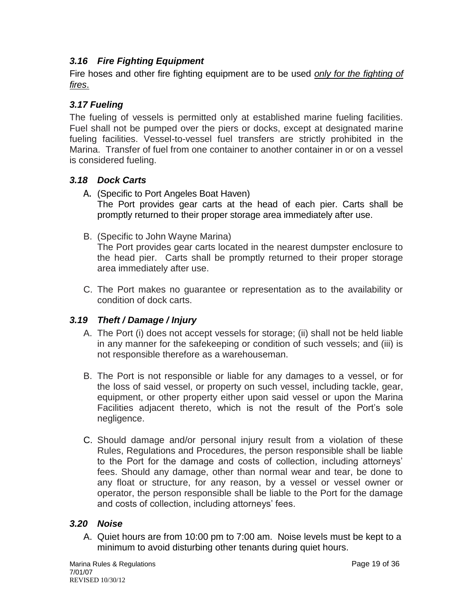# <span id="page-18-0"></span>*3.16 Fire Fighting Equipment*

Fire hoses and other fire fighting equipment are to be used *only for the fighting of fires*.

# <span id="page-18-1"></span>*3.17 Fueling*

The fueling of vessels is permitted only at established marine fueling facilities. Fuel shall not be pumped over the piers or docks, except at designated marine fueling facilities. Vessel-to-vessel fuel transfers are strictly prohibited in the Marina. Transfer of fuel from one container to another container in or on a vessel is considered fueling.

# <span id="page-18-2"></span>*3.18 Dock Carts*

- A. (Specific to Port Angeles Boat Haven) The Port provides gear carts at the head of each pier. Carts shall be promptly returned to their proper storage area immediately after use.
- B. (Specific to John Wayne Marina)

The Port provides gear carts located in the nearest dumpster enclosure to the head pier. Carts shall be promptly returned to their proper storage area immediately after use.

C. The Port makes no guarantee or representation as to the availability or condition of dock carts.

# <span id="page-18-3"></span>*3.19 Theft / Damage / Injury*

- A. The Port (i) does not accept vessels for storage; (ii) shall not be held liable in any manner for the safekeeping or condition of such vessels; and (iii) is not responsible therefore as a warehouseman.
- B. The Port is not responsible or liable for any damages to a vessel, or for the loss of said vessel, or property on such vessel, including tackle, gear, equipment, or other property either upon said vessel or upon the Marina Facilities adjacent thereto, which is not the result of the Port's sole negligence.
- C. Should damage and/or personal injury result from a violation of these Rules, Regulations and Procedures, the person responsible shall be liable to the Port for the damage and costs of collection, including attorneys' fees. Should any damage, other than normal wear and tear, be done to any float or structure, for any reason, by a vessel or vessel owner or operator, the person responsible shall be liable to the Port for the damage and costs of collection, including attorneys' fees.

#### <span id="page-18-4"></span>*3.20 Noise*

A. Quiet hours are from 10:00 pm to 7:00 am. Noise levels must be kept to a minimum to avoid disturbing other tenants during quiet hours.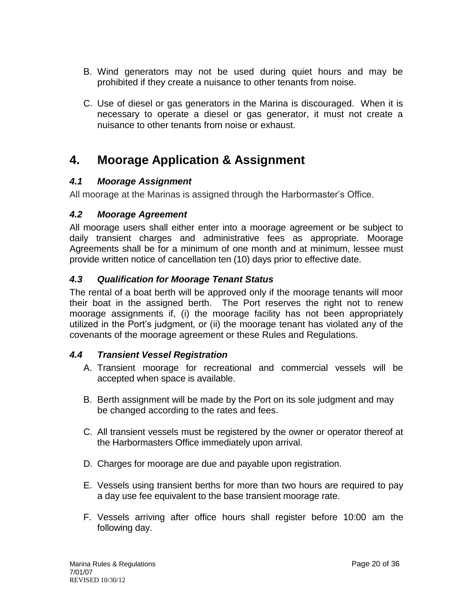- B. Wind generators may not be used during quiet hours and may be prohibited if they create a nuisance to other tenants from noise.
- C. Use of diesel or gas generators in the Marina is discouraged. When it is necessary to operate a diesel or gas generator, it must not create a nuisance to other tenants from noise or exhaust.

# <span id="page-19-0"></span>**4. Moorage Application & Assignment**

# <span id="page-19-1"></span>*4.1 Moorage Assignment*

All moorage at the Marinas is assigned through the Harbormaster's Office.

# <span id="page-19-2"></span>*4.2 Moorage Agreement*

All moorage users shall either enter into a moorage agreement or be subject to daily transient charges and administrative fees as appropriate. Moorage Agreements shall be for a minimum of one month and at minimum, lessee must provide written notice of cancellation ten (10) days prior to effective date.

#### <span id="page-19-3"></span>*4.3 Qualification for Moorage Tenant Status*

The rental of a boat berth will be approved only if the moorage tenants will moor their boat in the assigned berth. The Port reserves the right not to renew moorage assignments if, (i) the moorage facility has not been appropriately utilized in the Port's judgment, or (ii) the moorage tenant has violated any of the covenants of the moorage agreement or these Rules and Regulations.

# <span id="page-19-4"></span>*4.4 Transient Vessel Registration*

- A. Transient moorage for recreational and commercial vessels will be accepted when space is available.
- B. Berth assignment will be made by the Port on its sole judgment and may be changed according to the rates and fees.
- C. All transient vessels must be registered by the owner or operator thereof at the Harbormasters Office immediately upon arrival.
- D. Charges for moorage are due and payable upon registration.
- E. Vessels using transient berths for more than two hours are required to pay a day use fee equivalent to the base transient moorage rate.
- F. Vessels arriving after office hours shall register before 10:00 am the following day.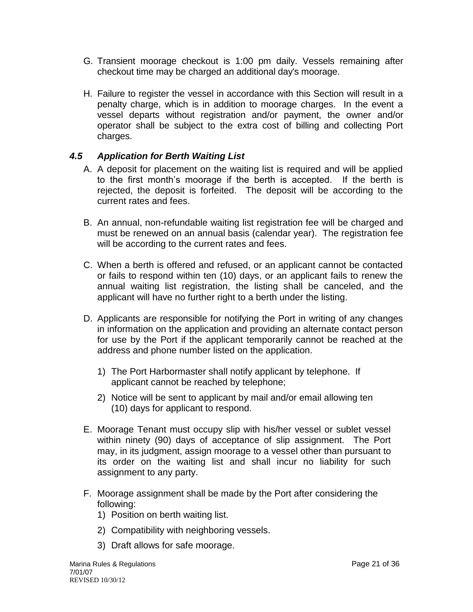- G. Transient moorage checkout is 1:00 pm daily. Vessels remaining after checkout time may be charged an additional day's moorage.
- H. Failure to register the vessel in accordance with this Section will result in a penalty charge, which is in addition to moorage charges. In the event a vessel departs without registration and/or payment, the owner and/or operator shall be subject to the extra cost of billing and collecting Port charges.

#### <span id="page-20-0"></span>*4.5 Application for Berth Waiting List*

- A. A deposit for placement on the waiting list is required and will be applied to the first month's moorage if the berth is accepted. If the berth is rejected, the deposit is forfeited. The deposit will be according to the current rates and fees.
- B. An annual, non-refundable waiting list registration fee will be charged and must be renewed on an annual basis (calendar year). The registration fee will be according to the current rates and fees.
- C. When a berth is offered and refused, or an applicant cannot be contacted or fails to respond within ten (10) days, or an applicant fails to renew the annual waiting list registration, the listing shall be canceled, and the applicant will have no further right to a berth under the listing.
- D. Applicants are responsible for notifying the Port in writing of any changes in information on the application and providing an alternate contact person for use by the Port if the applicant temporarily cannot be reached at the address and phone number listed on the application.
	- 1) The Port Harbormaster shall notify applicant by telephone. If applicant cannot be reached by telephone;
	- 2) Notice will be sent to applicant by mail and/or email allowing ten (10) days for applicant to respond.
- E. Moorage Tenant must occupy slip with his/her vessel or sublet vessel within ninety (90) days of acceptance of slip assignment. The Port may, in its judgment, assign moorage to a vessel other than pursuant to its order on the waiting list and shall incur no liability for such assignment to any party.
- F. Moorage assignment shall be made by the Port after considering the following:
	- 1) Position on berth waiting list.
	- 2) Compatibility with neighboring vessels.
	- 3) Draft allows for safe moorage.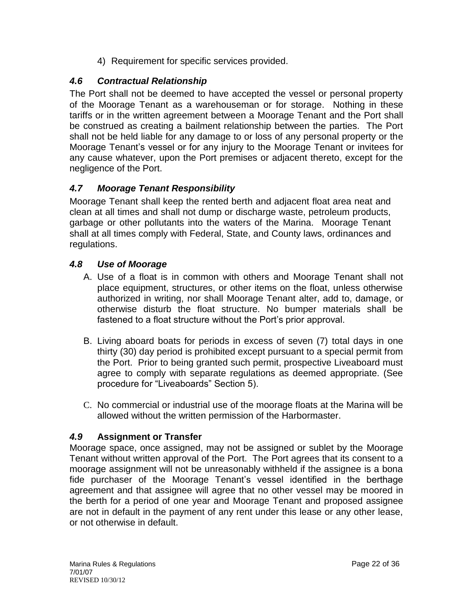4) Requirement for specific services provided.

# <span id="page-21-0"></span>*4.6 Contractual Relationship*

The Port shall not be deemed to have accepted the vessel or personal property of the Moorage Tenant as a warehouseman or for storage. Nothing in these tariffs or in the written agreement between a Moorage Tenant and the Port shall be construed as creating a bailment relationship between the parties. The Port shall not be held liable for any damage to or loss of any personal property or the Moorage Tenant's vessel or for any injury to the Moorage Tenant or invitees for any cause whatever, upon the Port premises or adjacent thereto, except for the negligence of the Port.

# <span id="page-21-1"></span>*4.7 Moorage Tenant Responsibility*

Moorage Tenant shall keep the rented berth and adjacent float area neat and clean at all times and shall not dump or discharge waste, petroleum products, garbage or other pollutants into the waters of the Marina. Moorage Tenant shall at all times comply with Federal, State, and County laws, ordinances and regulations.

# <span id="page-21-2"></span>*4.8 Use of Moorage*

- A. Use of a float is in common with others and Moorage Tenant shall not place equipment, structures, or other items on the float, unless otherwise authorized in writing, nor shall Moorage Tenant alter, add to, damage, or otherwise disturb the float structure. No bumper materials shall be fastened to a float structure without the Port's prior approval.
- B. Living aboard boats for periods in excess of seven (7) total days in one thirty (30) day period is prohibited except pursuant to a special permit from the Port. Prior to being granted such permit, prospective Liveaboard must agree to comply with separate regulations as deemed appropriate. (See procedure for "Liveaboards" Section 5).
- <span id="page-21-3"></span>C. No commercial or industrial use of the moorage floats at the Marina will be allowed without the written permission of the Harbormaster.

# *4.9* **Assignment or Transfer**

Moorage space, once assigned, may not be assigned or sublet by the Moorage Tenant without written approval of the Port. The Port agrees that its consent to a moorage assignment will not be unreasonably withheld if the assignee is a bona fide purchaser of the Moorage Tenant's vessel identified in the berthage agreement and that assignee will agree that no other vessel may be moored in the berth for a period of one year and Moorage Tenant and proposed assignee are not in default in the payment of any rent under this lease or any other lease, or not otherwise in default.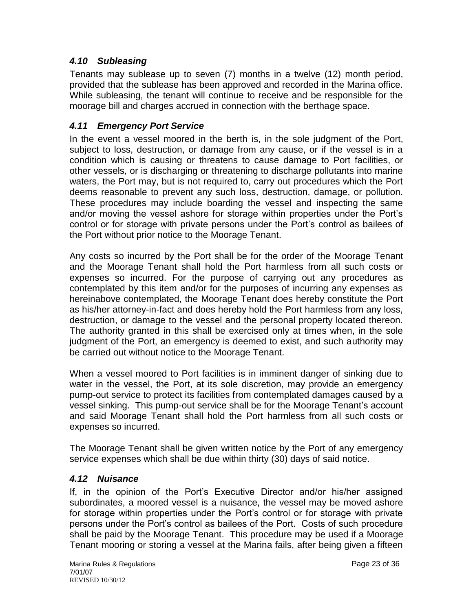#### <span id="page-22-0"></span>*4.10 Subleasing*

Tenants may sublease up to seven (7) months in a twelve (12) month period, provided that the sublease has been approved and recorded in the Marina office. While subleasing, the tenant will continue to receive and be responsible for the moorage bill and charges accrued in connection with the berthage space.

#### <span id="page-22-1"></span>*4.11 Emergency Port Service*

In the event a vessel moored in the berth is, in the sole judgment of the Port, subject to loss, destruction, or damage from any cause, or if the vessel is in a condition which is causing or threatens to cause damage to Port facilities, or other vessels, or is discharging or threatening to discharge pollutants into marine waters, the Port may, but is not required to, carry out procedures which the Port deems reasonable to prevent any such loss, destruction, damage, or pollution. These procedures may include boarding the vessel and inspecting the same and/or moving the vessel ashore for storage within properties under the Port's control or for storage with private persons under the Port's control as bailees of the Port without prior notice to the Moorage Tenant.

Any costs so incurred by the Port shall be for the order of the Moorage Tenant and the Moorage Tenant shall hold the Port harmless from all such costs or expenses so incurred. For the purpose of carrying out any procedures as contemplated by this item and/or for the purposes of incurring any expenses as hereinabove contemplated, the Moorage Tenant does hereby constitute the Port as his/her attorney-in-fact and does hereby hold the Port harmless from any loss, destruction, or damage to the vessel and the personal property located thereon. The authority granted in this shall be exercised only at times when, in the sole judgment of the Port, an emergency is deemed to exist, and such authority may be carried out without notice to the Moorage Tenant.

When a vessel moored to Port facilities is in imminent danger of sinking due to water in the vessel, the Port, at its sole discretion, may provide an emergency pump-out service to protect its facilities from contemplated damages caused by a vessel sinking. This pump-out service shall be for the Moorage Tenant's account and said Moorage Tenant shall hold the Port harmless from all such costs or expenses so incurred.

The Moorage Tenant shall be given written notice by the Port of any emergency service expenses which shall be due within thirty (30) days of said notice.

#### <span id="page-22-2"></span>*4.12 Nuisance*

If, in the opinion of the Port's Executive Director and/or his/her assigned subordinates, a moored vessel is a nuisance, the vessel may be moved ashore for storage within properties under the Port's control or for storage with private persons under the Port's control as bailees of the Port. Costs of such procedure shall be paid by the Moorage Tenant. This procedure may be used if a Moorage Tenant mooring or storing a vessel at the Marina fails, after being given a fifteen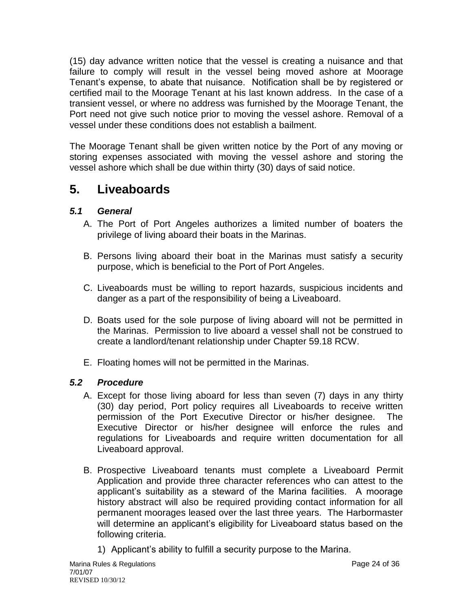(15) day advance written notice that the vessel is creating a nuisance and that failure to comply will result in the vessel being moved ashore at Moorage Tenant's expense, to abate that nuisance. Notification shall be by registered or certified mail to the Moorage Tenant at his last known address. In the case of a transient vessel, or where no address was furnished by the Moorage Tenant, the Port need not give such notice prior to moving the vessel ashore. Removal of a vessel under these conditions does not establish a bailment.

The Moorage Tenant shall be given written notice by the Port of any moving or storing expenses associated with moving the vessel ashore and storing the vessel ashore which shall be due within thirty (30) days of said notice.

# <span id="page-23-0"></span>**5. Liveaboards**

# <span id="page-23-1"></span>*5.1 General*

- A. The Port of Port Angeles authorizes a limited number of boaters the privilege of living aboard their boats in the Marinas.
- B. Persons living aboard their boat in the Marinas must satisfy a security purpose, which is beneficial to the Port of Port Angeles.
- C. Liveaboards must be willing to report hazards, suspicious incidents and danger as a part of the responsibility of being a Liveaboard.
- D. Boats used for the sole purpose of living aboard will not be permitted in the Marinas. Permission to live aboard a vessel shall not be construed to create a landlord/tenant relationship under Chapter 59.18 RCW.
- E. Floating homes will not be permitted in the Marinas.

# <span id="page-23-2"></span>*5.2 Procedure*

- A. Except for those living aboard for less than seven (7) days in any thirty (30) day period, Port policy requires all Liveaboards to receive written permission of the Port Executive Director or his/her designee. The Executive Director or his/her designee will enforce the rules and regulations for Liveaboards and require written documentation for all Liveaboard approval.
- B. Prospective Liveaboard tenants must complete a Liveaboard Permit Application and provide three character references who can attest to the applicant's suitability as a steward of the Marina facilities. A moorage history abstract will also be required providing contact information for all permanent moorages leased over the last three years. The Harbormaster will determine an applicant's eligibility for Liveaboard status based on the following criteria.
	- 1) Applicant's ability to fulfill a security purpose to the Marina.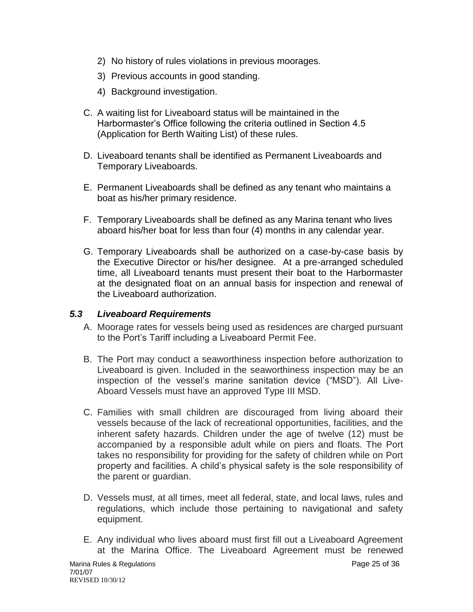- 2) No history of rules violations in previous moorages.
- 3) Previous accounts in good standing.
- 4) Background investigation.
- C. A waiting list for Liveaboard status will be maintained in the Harbormaster's Office following the criteria outlined in Section 4.5 (Application for Berth Waiting List) of these rules.
- D. Liveaboard tenants shall be identified as Permanent Liveaboards and Temporary Liveaboards.
- E. Permanent Liveaboards shall be defined as any tenant who maintains a boat as his/her primary residence.
- F. Temporary Liveaboards shall be defined as any Marina tenant who lives aboard his/her boat for less than four (4) months in any calendar year.
- G. Temporary Liveaboards shall be authorized on a case-by-case basis by the Executive Director or his/her designee. At a pre-arranged scheduled time, all Liveaboard tenants must present their boat to the Harbormaster at the designated float on an annual basis for inspection and renewal of the Liveaboard authorization.

#### <span id="page-24-0"></span>*5.3 Liveaboard Requirements*

- A. Moorage rates for vessels being used as residences are charged pursuant to the Port's Tariff including a Liveaboard Permit Fee.
- B. The Port may conduct a seaworthiness inspection before authorization to Liveaboard is given. Included in the seaworthiness inspection may be an inspection of the vessel's marine sanitation device ("MSD"). All Live-Aboard Vessels must have an approved Type III MSD.
- C. Families with small children are discouraged from living aboard their vessels because of the lack of recreational opportunities, facilities, and the inherent safety hazards. Children under the age of twelve (12) must be accompanied by a responsible adult while on piers and floats. The Port takes no responsibility for providing for the safety of children while on Port property and facilities. A child's physical safety is the sole responsibility of the parent or guardian.
- D. Vessels must, at all times, meet all federal, state, and local laws, rules and regulations, which include those pertaining to navigational and safety equipment.
- E. Any individual who lives aboard must first fill out a Liveaboard Agreement at the Marina Office. The Liveaboard Agreement must be renewed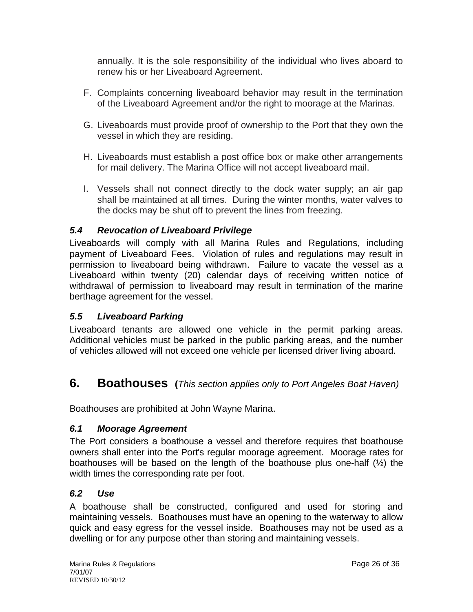annually. It is the sole responsibility of the individual who lives aboard to renew his or her Liveaboard Agreement.

- F. Complaints concerning liveaboard behavior may result in the termination of the Liveaboard Agreement and/or the right to moorage at the Marinas.
- G. Liveaboards must provide proof of ownership to the Port that they own the vessel in which they are residing.
- H. Liveaboards must establish a post office box or make other arrangements for mail delivery. The Marina Office will not accept liveaboard mail.
- I. Vessels shall not connect directly to the dock water supply; an air gap shall be maintained at all times. During the winter months, water valves to the docks may be shut off to prevent the lines from freezing.

#### <span id="page-25-0"></span>*5.4 Revocation of Liveaboard Privilege*

Liveaboards will comply with all Marina Rules and Regulations, including payment of Liveaboard Fees. Violation of rules and regulations may result in permission to liveaboard being withdrawn. Failure to vacate the vessel as a Liveaboard within twenty (20) calendar days of receiving written notice of withdrawal of permission to liveaboard may result in termination of the marine berthage agreement for the vessel.

# <span id="page-25-1"></span>*5.5 Liveaboard Parking*

Liveaboard tenants are allowed one vehicle in the permit parking areas. Additional vehicles must be parked in the public parking areas, and the number of vehicles allowed will not exceed one vehicle per licensed driver living aboard.

# <span id="page-25-2"></span>**6. Boathouses (***This section applies only to Port Angeles Boat Haven)*

Boathouses are prohibited at John Wayne Marina.

#### <span id="page-25-3"></span>*6.1 Moorage Agreement*

The Port considers a boathouse a vessel and therefore requires that boathouse owners shall enter into the Port's regular moorage agreement. Moorage rates for boathouses will be based on the length of the boathouse plus one-half (½) the width times the corresponding rate per foot.

# <span id="page-25-4"></span>*6.2 Use*

A boathouse shall be constructed, configured and used for storing and maintaining vessels. Boathouses must have an opening to the waterway to allow quick and easy egress for the vessel inside. Boathouses may not be used as a dwelling or for any purpose other than storing and maintaining vessels.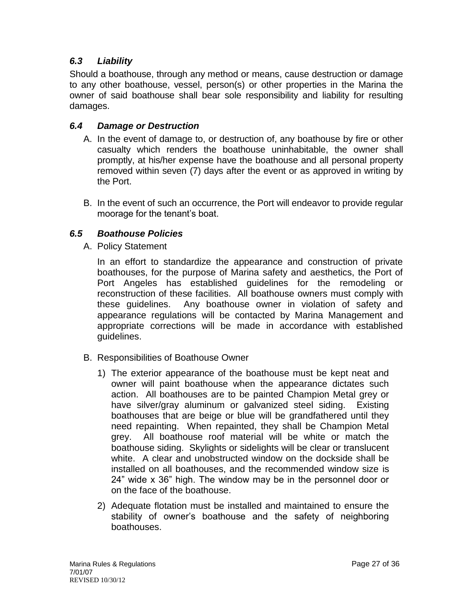# <span id="page-26-0"></span>*6.3 Liability*

Should a boathouse, through any method or means, cause destruction or damage to any other boathouse, vessel, person(s) or other properties in the Marina the owner of said boathouse shall bear sole responsibility and liability for resulting damages.

#### <span id="page-26-1"></span>*6.4 Damage or Destruction*

- A. In the event of damage to, or destruction of, any boathouse by fire or other casualty which renders the boathouse uninhabitable, the owner shall promptly, at his/her expense have the boathouse and all personal property removed within seven (7) days after the event or as approved in writing by the Port.
- B. In the event of such an occurrence, the Port will endeavor to provide regular moorage for the tenant's boat.

#### <span id="page-26-2"></span>*6.5 Boathouse Policies*

A. Policy Statement

In an effort to standardize the appearance and construction of private boathouses, for the purpose of Marina safety and aesthetics, the Port of Port Angeles has established guidelines for the remodeling or reconstruction of these facilities. All boathouse owners must comply with these guidelines. Any boathouse owner in violation of safety and appearance regulations will be contacted by Marina Management and appropriate corrections will be made in accordance with established guidelines.

- B. Responsibilities of Boathouse Owner
	- 1) The exterior appearance of the boathouse must be kept neat and owner will paint boathouse when the appearance dictates such action. All boathouses are to be painted Champion Metal grey or have silver/gray aluminum or galvanized steel siding. Existing boathouses that are beige or blue will be grandfathered until they need repainting. When repainted, they shall be Champion Metal grey. All boathouse roof material will be white or match the boathouse siding. Skylights or sidelights will be clear or translucent white. A clear and unobstructed window on the dockside shall be installed on all boathouses, and the recommended window size is 24" wide x 36" high. The window may be in the personnel door or on the face of the boathouse.
	- 2) Adequate flotation must be installed and maintained to ensure the stability of owner's boathouse and the safety of neighboring boathouses.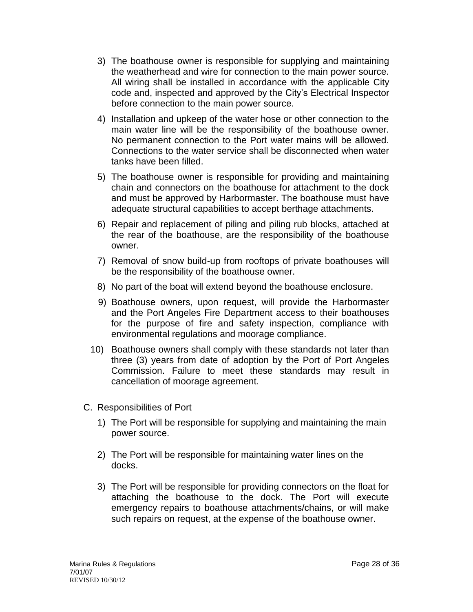- 3) The boathouse owner is responsible for supplying and maintaining the weatherhead and wire for connection to the main power source. All wiring shall be installed in accordance with the applicable City code and, inspected and approved by the City's Electrical Inspector before connection to the main power source.
- 4) Installation and upkeep of the water hose or other connection to the main water line will be the responsibility of the boathouse owner. No permanent connection to the Port water mains will be allowed. Connections to the water service shall be disconnected when water tanks have been filled.
- 5) The boathouse owner is responsible for providing and maintaining chain and connectors on the boathouse for attachment to the dock and must be approved by Harbormaster. The boathouse must have adequate structural capabilities to accept berthage attachments.
- 6) Repair and replacement of piling and piling rub blocks, attached at the rear of the boathouse, are the responsibility of the boathouse owner.
- 7) Removal of snow build-up from rooftops of private boathouses will be the responsibility of the boathouse owner.
- 8) No part of the boat will extend beyond the boathouse enclosure.
- 9) Boathouse owners, upon request, will provide the Harbormaster and the Port Angeles Fire Department access to their boathouses for the purpose of fire and safety inspection, compliance with environmental regulations and moorage compliance.
- 10) Boathouse owners shall comply with these standards not later than three (3) years from date of adoption by the Port of Port Angeles Commission. Failure to meet these standards may result in cancellation of moorage agreement.
- C. Responsibilities of Port
	- 1) The Port will be responsible for supplying and maintaining the main power source.
	- 2) The Port will be responsible for maintaining water lines on the docks.
	- 3) The Port will be responsible for providing connectors on the float for attaching the boathouse to the dock. The Port will execute emergency repairs to boathouse attachments/chains, or will make such repairs on request, at the expense of the boathouse owner.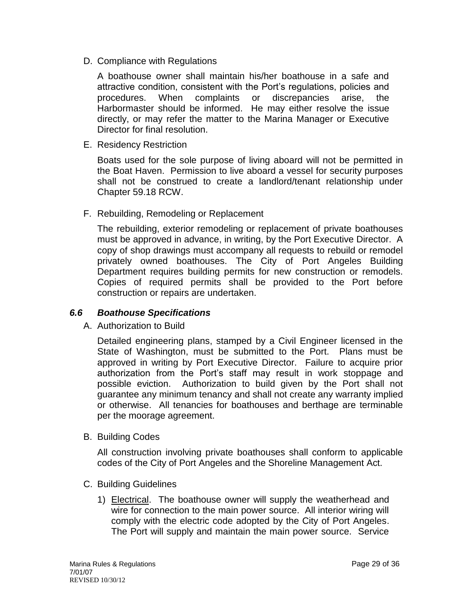D. Compliance with Regulations

A boathouse owner shall maintain his/her boathouse in a safe and attractive condition, consistent with the Port's regulations, policies and procedures. When complaints or discrepancies arise, the Harbormaster should be informed. He may either resolve the issue directly, or may refer the matter to the Marina Manager or Executive Director for final resolution.

E. Residency Restriction

Boats used for the sole purpose of living aboard will not be permitted in the Boat Haven. Permission to live aboard a vessel for security purposes shall not be construed to create a landlord/tenant relationship under Chapter 59.18 RCW.

F. Rebuilding, Remodeling or Replacement

The rebuilding, exterior remodeling or replacement of private boathouses must be approved in advance, in writing, by the Port Executive Director. A copy of shop drawings must accompany all requests to rebuild or remodel privately owned boathouses. The City of Port Angeles Building Department requires building permits for new construction or remodels. Copies of required permits shall be provided to the Port before construction or repairs are undertaken.

#### <span id="page-28-0"></span>*6.6 Boathouse Specifications*

A. Authorization to Build

Detailed engineering plans, stamped by a Civil Engineer licensed in the State of Washington, must be submitted to the Port. Plans must be approved in writing by Port Executive Director. Failure to acquire prior authorization from the Port's staff may result in work stoppage and possible eviction. Authorization to build given by the Port shall not guarantee any minimum tenancy and shall not create any warranty implied or otherwise. All tenancies for boathouses and berthage are terminable per the moorage agreement.

B. Building Codes

All construction involving private boathouses shall conform to applicable codes of the City of Port Angeles and the Shoreline Management Act.

- C. Building Guidelines
	- 1) Electrical. The boathouse owner will supply the weatherhead and wire for connection to the main power source. All interior wiring will comply with the electric code adopted by the City of Port Angeles. The Port will supply and maintain the main power source. Service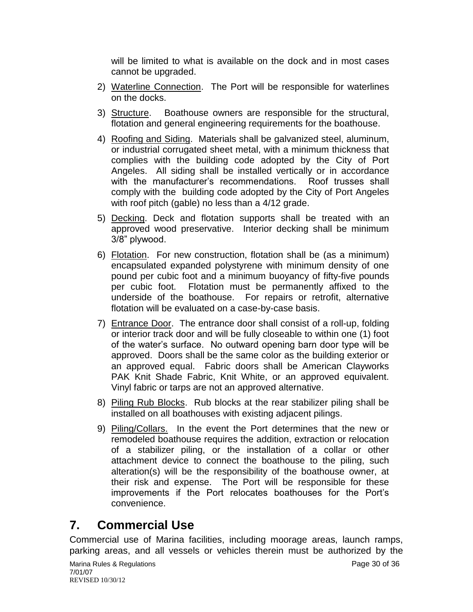will be limited to what is available on the dock and in most cases cannot be upgraded.

- 2) Waterline Connection. The Port will be responsible for waterlines on the docks.
- 3) Structure. Boathouse owners are responsible for the structural, flotation and general engineering requirements for the boathouse.
- 4) Roofing and Siding. Materials shall be galvanized steel, aluminum, or industrial corrugated sheet metal, with a minimum thickness that complies with the building code adopted by the City of Port Angeles. All siding shall be installed vertically or in accordance with the manufacturer's recommendations. Roof trusses shall comply with the building code adopted by the City of Port Angeles with roof pitch (gable) no less than a 4/12 grade.
- 5) Decking. Deck and flotation supports shall be treated with an approved wood preservative. Interior decking shall be minimum 3/8" plywood.
- 6) Flotation. For new construction, flotation shall be (as a minimum) encapsulated expanded polystyrene with minimum density of one pound per cubic foot and a minimum buoyancy of fifty-five pounds per cubic foot. Flotation must be permanently affixed to the underside of the boathouse. For repairs or retrofit, alternative flotation will be evaluated on a case-by-case basis.
- 7) Entrance Door. The entrance door shall consist of a roll-up, folding or interior track door and will be fully closeable to within one (1) foot of the water's surface. No outward opening barn door type will be approved. Doors shall be the same color as the building exterior or an approved equal. Fabric doors shall be American Clayworks PAK Knit Shade Fabric, Knit White, or an approved equivalent. Vinyl fabric or tarps are not an approved alternative.
- 8) Piling Rub Blocks. Rub blocks at the rear stabilizer piling shall be installed on all boathouses with existing adjacent pilings.
- 9) Piling/Collars. In the event the Port determines that the new or remodeled boathouse requires the addition, extraction or relocation of a stabilizer piling, or the installation of a collar or other attachment device to connect the boathouse to the piling, such alteration(s) will be the responsibility of the boathouse owner, at their risk and expense. The Port will be responsible for these improvements if the Port relocates boathouses for the Port's convenience.

# <span id="page-29-0"></span>**7. Commercial Use**

Commercial use of Marina facilities, including moorage areas, launch ramps, parking areas, and all vessels or vehicles therein must be authorized by the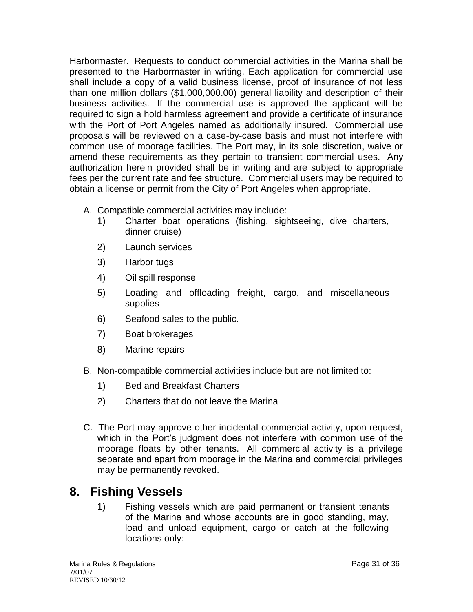Harbormaster. Requests to conduct commercial activities in the Marina shall be presented to the Harbormaster in writing. Each application for commercial use shall include a copy of a valid business license, proof of insurance of not less than one million dollars (\$1,000,000.00) general liability and description of their business activities. If the commercial use is approved the applicant will be required to sign a hold harmless agreement and provide a certificate of insurance with the Port of Port Angeles named as additionally insured. Commercial use proposals will be reviewed on a case-by-case basis and must not interfere with common use of moorage facilities. The Port may, in its sole discretion, waive or amend these requirements as they pertain to transient commercial uses. Any authorization herein provided shall be in writing and are subject to appropriate fees per the current rate and fee structure. Commercial users may be required to obtain a license or permit from the City of Port Angeles when appropriate.

- A. Compatible commercial activities may include:
	- 1) Charter boat operations (fishing, sightseeing, dive charters, dinner cruise)
	- 2) Launch services
	- 3) Harbor tugs
	- 4) Oil spill response
	- 5) Loading and offloading freight, cargo, and miscellaneous supplies
	- 6) Seafood sales to the public.
	- 7) Boat brokerages
	- 8) Marine repairs
- B. Non-compatible commercial activities include but are not limited to:
	- 1) Bed and Breakfast Charters
	- 2) Charters that do not leave the Marina
- C. The Port may approve other incidental commercial activity, upon request, which in the Port's judgment does not interfere with common use of the moorage floats by other tenants. All commercial activity is a privilege separate and apart from moorage in the Marina and commercial privileges may be permanently revoked.

# **8. Fishing Vessels**

1) Fishing vessels which are paid permanent or transient tenants of the Marina and whose accounts are in good standing, may, load and unload equipment, cargo or catch at the following locations only: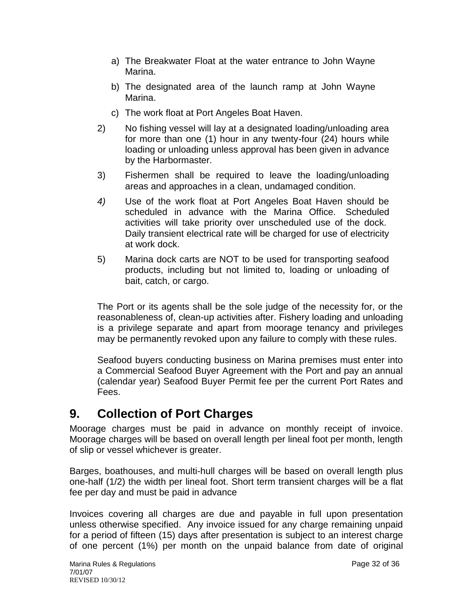- a) The Breakwater Float at the water entrance to John Wayne Marina.
- b) The designated area of the launch ramp at John Wayne Marina.
- c) The work float at Port Angeles Boat Haven.
- 2) No fishing vessel will lay at a designated loading/unloading area for more than one (1) hour in any twenty-four (24) hours while loading or unloading unless approval has been given in advance by the Harbormaster.
- 3) Fishermen shall be required to leave the loading/unloading areas and approaches in a clean, undamaged condition.
- *4)* Use of the work float at Port Angeles Boat Haven should be scheduled in advance with the Marina Office. Scheduled activities will take priority over unscheduled use of the dock. Daily transient electrical rate will be charged for use of electricity at work dock.
- 5) Marina dock carts are NOT to be used for transporting seafood products, including but not limited to, loading or unloading of bait, catch, or cargo.

The Port or its agents shall be the sole judge of the necessity for, or the reasonableness of, clean-up activities after. Fishery loading and unloading is a privilege separate and apart from moorage tenancy and privileges may be permanently revoked upon any failure to comply with these rules.

Seafood buyers conducting business on Marina premises must enter into a Commercial Seafood Buyer Agreement with the Port and pay an annual (calendar year) Seafood Buyer Permit fee per the current Port Rates and Fees.

# <span id="page-31-0"></span>**9. Collection of Port Charges**

Moorage charges must be paid in advance on monthly receipt of invoice. Moorage charges will be based on overall length per lineal foot per month, length of slip or vessel whichever is greater.

Barges, boathouses, and multi-hull charges will be based on overall length plus one-half (1/2) the width per lineal foot. Short term transient charges will be a flat fee per day and must be paid in advance

Invoices covering all charges are due and payable in full upon presentation unless otherwise specified. Any invoice issued for any charge remaining unpaid for a period of fifteen (15) days after presentation is subject to an interest charge of one percent (1%) per month on the unpaid balance from date of original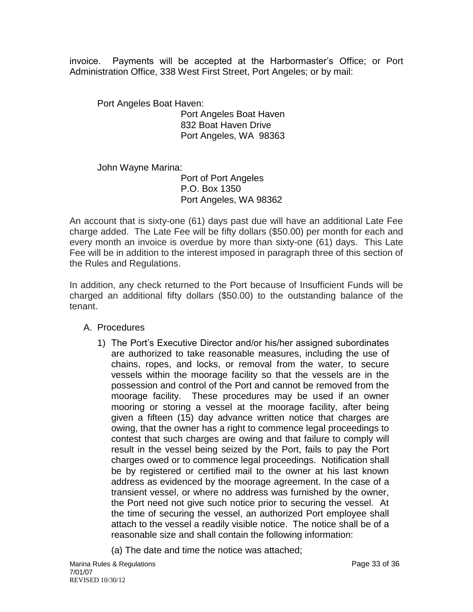invoice. Payments will be accepted at the Harbormaster's Office; or Port Administration Office, 338 West First Street, Port Angeles; or by mail:

Port Angeles Boat Haven:

Port Angeles Boat Haven 832 Boat Haven Drive Port Angeles, WA 98363

John Wayne Marina: Port of Port Angeles P.O. Box 1350 Port Angeles, WA 98362

An account that is sixty-one (61) days past due will have an additional Late Fee charge added. The Late Fee will be fifty dollars (\$50.00) per month for each and every month an invoice is overdue by more than sixty-one (61) days. This Late Fee will be in addition to the interest imposed in paragraph three of this section of the Rules and Regulations.

In addition, any check returned to the Port because of Insufficient Funds will be charged an additional fifty dollars (\$50.00) to the outstanding balance of the tenant.

# A. Procedures

1) The Port's Executive Director and/or his/her assigned subordinates are authorized to take reasonable measures, including the use of chains, ropes, and locks, or removal from the water, to secure vessels within the moorage facility so that the vessels are in the possession and control of the Port and cannot be removed from the moorage facility. These procedures may be used if an owner mooring or storing a vessel at the moorage facility, after being given a fifteen (15) day advance written notice that charges are owing, that the owner has a right to commence legal proceedings to contest that such charges are owing and that failure to comply will result in the vessel being seized by the Port, fails to pay the Port charges owed or to commence legal proceedings. Notification shall be by registered or certified mail to the owner at his last known address as evidenced by the moorage agreement. In the case of a transient vessel, or where no address was furnished by the owner, the Port need not give such notice prior to securing the vessel. At the time of securing the vessel, an authorized Port employee shall attach to the vessel a readily visible notice. The notice shall be of a reasonable size and shall contain the following information:

(a) The date and time the notice was attached;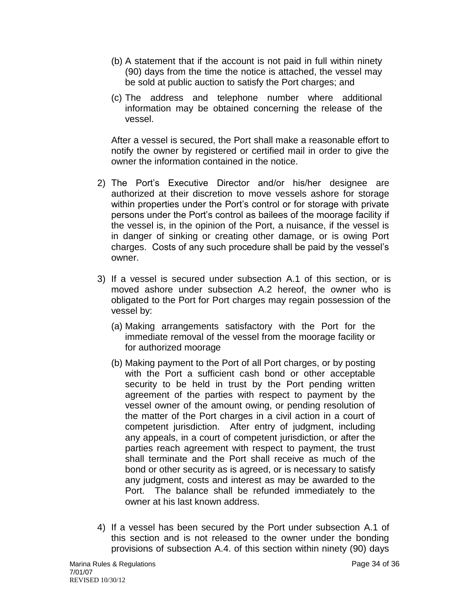- (b) A statement that if the account is not paid in full within ninety (90) days from the time the notice is attached, the vessel may be sold at public auction to satisfy the Port charges; and
- (c) The address and telephone number where additional information may be obtained concerning the release of the vessel.

After a vessel is secured, the Port shall make a reasonable effort to notify the owner by registered or certified mail in order to give the owner the information contained in the notice.

- 2) The Port's Executive Director and/or his/her designee are authorized at their discretion to move vessels ashore for storage within properties under the Port's control or for storage with private persons under the Port's control as bailees of the moorage facility if the vessel is, in the opinion of the Port, a nuisance, if the vessel is in danger of sinking or creating other damage, or is owing Port charges. Costs of any such procedure shall be paid by the vessel's owner.
- 3) If a vessel is secured under subsection A.1 of this section, or is moved ashore under subsection A.2 hereof, the owner who is obligated to the Port for Port charges may regain possession of the vessel by:
	- (a) Making arrangements satisfactory with the Port for the immediate removal of the vessel from the moorage facility or for authorized moorage
	- (b) Making payment to the Port of all Port charges, or by posting with the Port a sufficient cash bond or other acceptable security to be held in trust by the Port pending written agreement of the parties with respect to payment by the vessel owner of the amount owing, or pending resolution of the matter of the Port charges in a civil action in a court of competent jurisdiction. After entry of judgment, including any appeals, in a court of competent jurisdiction, or after the parties reach agreement with respect to payment, the trust shall terminate and the Port shall receive as much of the bond or other security as is agreed, or is necessary to satisfy any judgment, costs and interest as may be awarded to the Port. The balance shall be refunded immediately to the owner at his last known address.
- 4) If a vessel has been secured by the Port under subsection A.1 of this section and is not released to the owner under the bonding provisions of subsection A.4. of this section within ninety (90) days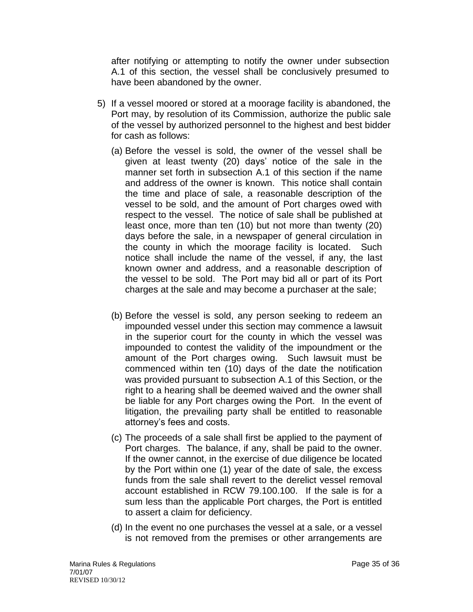after notifying or attempting to notify the owner under subsection A.1 of this section, the vessel shall be conclusively presumed to have been abandoned by the owner.

- 5) If a vessel moored or stored at a moorage facility is abandoned, the Port may, by resolution of its Commission, authorize the public sale of the vessel by authorized personnel to the highest and best bidder for cash as follows:
	- (a) Before the vessel is sold, the owner of the vessel shall be given at least twenty (20) days' notice of the sale in the manner set forth in subsection A.1 of this section if the name and address of the owner is known. This notice shall contain the time and place of sale, a reasonable description of the vessel to be sold, and the amount of Port charges owed with respect to the vessel. The notice of sale shall be published at least once, more than ten (10) but not more than twenty (20) days before the sale, in a newspaper of general circulation in the county in which the moorage facility is located. Such notice shall include the name of the vessel, if any, the last known owner and address, and a reasonable description of the vessel to be sold. The Port may bid all or part of its Port charges at the sale and may become a purchaser at the sale;
	- (b) Before the vessel is sold, any person seeking to redeem an impounded vessel under this section may commence a lawsuit in the superior court for the county in which the vessel was impounded to contest the validity of the impoundment or the amount of the Port charges owing. Such lawsuit must be commenced within ten (10) days of the date the notification was provided pursuant to subsection A.1 of this Section, or the right to a hearing shall be deemed waived and the owner shall be liable for any Port charges owing the Port. In the event of litigation, the prevailing party shall be entitled to reasonable attorney's fees and costs.
	- (c) The proceeds of a sale shall first be applied to the payment of Port charges. The balance, if any, shall be paid to the owner. If the owner cannot, in the exercise of due diligence be located by the Port within one (1) year of the date of sale, the excess funds from the sale shall revert to the derelict vessel removal account established in RCW 79.100.100. If the sale is for a sum less than the applicable Port charges, the Port is entitled to assert a claim for deficiency.
	- (d) In the event no one purchases the vessel at a sale, or a vessel is not removed from the premises or other arrangements are